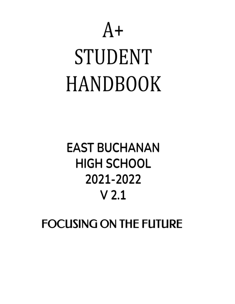# $A+$ **STUDENT HANDBOOK**

# **EAST BUCHANAN HIGH SCHOOL** 2021-2022  $V<sub>2.1</sub>$

**FOCUSING ON THE FUTURE**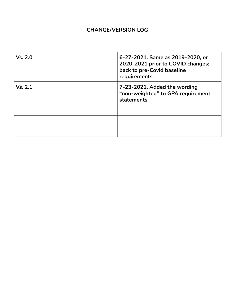# **CHANGE/VERSION LOG**

| Vs. 2.0 | 6-27-2021. Same as 2019-2020, or<br>2020-2021 prior to COVID changes;<br>back to pre-Covid baseline<br>requirements. |
|---------|----------------------------------------------------------------------------------------------------------------------|
| Vs. 2.1 | 7-23-2021. Added the wording<br>"non-weighted" to GPA requirement<br>statements.                                     |
|         |                                                                                                                      |
|         |                                                                                                                      |
|         |                                                                                                                      |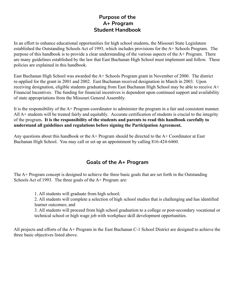# **Purpose of the A+ Program Student Handbook**

In an effort to enhance educational opportunities for high school students, the Missouri State Legislature established the Outstanding Schools Act of 1993, which includes provisions for the A+ Schools Program. The purpose of this handbook is to provide a clear understanding of the various aspects of the  $A+$  Program. There are many guidelines established by the law that East Buchanan High School must implement and follow. These policies are explained in this handbook.

East Buchanan High School was awarded the A+ Schools Program grant in November of 2000. The district re-applied for the grant in 2001 and 2002. East Buchanan received designation in March in 2003. Upon receiving designation, eligible students graduating from East Buchanan High School may be able to receive A+ Financial Incentives. The funding for financial incentives is dependent upon continued support and availability of state appropriations from the Missouri General Assembly.

It is the responsibility of the A+ Program coordinator to administer the program in a fair and consistent manner. All A+ students will be treated fairly and equitably. Accurate certification of students is crucial to the integrity of the program**. It is the responsibility of the students and parents to read this handbook carefully to understand all guidelines and regulations before signing the Participation Agreement.**

Any questions about this handbook or the  $A+$  Program should be directed to the  $A+$  Coordinator at East Buchanan High School. You may call or set up an appointment by calling 816-424-6460.

# **Goals of the A+ Program**

The A+ Program concept is designed to achieve the three basic goals that are set forth in the Outstanding Schools Act of 1993. The three goals of the A+ Program are:

1. All students will graduate from high school;

2. All students will complete a selection of high school studies that is challenging and has identified learner outcomes; and

3. All students will proceed from high school graduation to a college or post-secondary vocational or technical school or high wage job with workplace skill development opportunities.

All projects and efforts of the A+ Program in the East Buchanan C-1 School District are designed to achieve the three basic objectives listed above.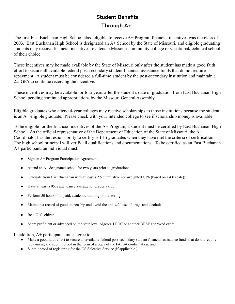# **Student Benefits**

# **Through A+**

The first East Buchanan High School class eligible to receive A+ Program financial incentives was the class of 2003. East Buchanan High School is designated an A+ School by the State of Missouri, and eligible graduating students may receive financial incentives to attend a Missouri community college or vocational/technical school of their choice.

These incentives may be made available by the State of Missouri only after the student has made a good faith effort to secure all available federal post-secondary student financial assistance funds that do not require repayment. A student must be considered a full-time student by the post-secondary institution and maintain a 2.5 GPA to continue receiving the incentive.

These incentives may be available for four years after the student's date of graduation from East Buchanan High School pending continued appropriations by the Missouri General Assembly.

Eligible graduates who attend 4-year colleges may receive scholarships to those institutions because the student is an A+ eligible graduate. Please check with your intended college to see if scholarship money is available.

To be eligible for the financial incentives of the A+ Program, a student must be certified by East Buchanan High School. As the official representative of the Department of Education of the State of Missouri, the A+ Coordinator has the responsibility to certify EBHS graduates when they have met the criteria of certification. The high school principal will verify all qualifications and documentations. To be certified as an East Buchanan A+ participant, an individual must:

- Sign an A+ Program Participation Agreement;
- Attend an  $A+$  designated school for two years prior to graduation;
- Graduate from East Buchanan with at least a 2.5 cumulative non-weighted GPA (based on a 4.0 scale);
- Have at least a 95% attendance average for grades 9-12;
- Perform 50 hours of unpaid, academic tutoring or mentoring;
- Maintain a record of good citizenship and avoid the unlawful use of drugs and alcohol;
- Be a U. S. citizen;
- Score proficient or advanced on the state level Algebra I EOC or another DESE approved exam.

In addition,  $A<sup>+</sup>$  participants must agree to:

- Make a good faith effort to secure all available federal post-secondary student financial assistance funds that do not require repayment, and submit proof in the form of a copy of the FAFSA confirmation; and
- Submit proof of registering for the US Selective Service (if applicable.)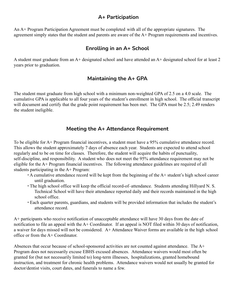## **A+ Participation**

An A+ Program Participation Agreement must be completed with all of the appropriate signatures. The agreement simply states that the student and parents are aware of the A+ Program requirements and incentives.

# **Enrolling in an A+ School**

A student must graduate from an A+ designated school and have attended an A+ designated school for at least 2 years prior to graduation.

# **Maintaining the A+ GPA**

The student must graduate from high school with a minimum non-weighted GPA of 2.5 on a 4.0 scale. The cumulative GPA is applicable to all four years of the student's enrollment in high school. The official transcript will document and certify that the grade point requirement has been met. The GPA must be 2.5; 2.49 renders the student ineligible.

## **Meeting the A+ Attendance Requirement**

To be eligible for A+ Program financial incentives, a student must have a 95% cumulative attendance record. This allows the student approximately 7 days of absence each year. Students are expected to attend school regularly and to be on time for classes. Therefore, the student will acquire the habits of punctuality, self-discipline, and responsibility. A student who does not meet the 95% attendance requirement may not be eligible for the A+ Program financial incentives. The following attendance guidelines are required of all students participating in the A+ Program:

- ∙ A cumulative attendance record will be kept from the beginning of the A+ student's high school career until graduation.
- ∙ The high school office will keep the official record-of–attendance. Students attending Hillyard N. S. Technical School will have their attendance reported daily and their records maintained in the high school office.
- ∙ Each quarter parents, guardians, and students will be provided information that includes the student's attendance record.

A+ participants who receive notification of unacceptable attendance will have 30 days from the date of notification to file an appeal with the A+ Coordinator. If an appeal is NOT filed within 30 days of notification, a waiver for days missed will not be considered. A+ Attendance Waiver forms are available in the high school office or from the A+ Coordinator.

Absences that occur because of school-sponsored activities are not counted against attendance. The A+ Program does not necessarily excuse EBHS excused absences. Attendance waivers would most often be granted for (but not necessarily limited to) long-term illnesses, hospitalizations, granted homebound instruction, and treatment for chronic health problems. Attendance waivers would not usually be granted for doctor/dentist visits, court dates, and funerals to name a few.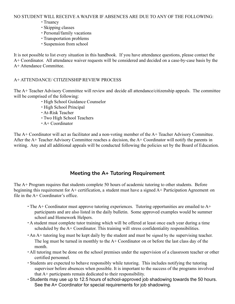NO STUDENT WILL RECEIVE A WAIVER IF ABSENCES ARE DUE TO ANY OF THE FOLLOWING:

- ∙ Truancy
- ∙ Skipping classes
- ∙ Personal/family vacations
- ∙ Transportation problems
- ∙ Suspension from school

It is not possible to list every situation in this handbook. If you have attendance questions, please contact the A+ Coordinator. All attendance waiver requests will be considered and decided on a case-by-case basis by the A+ Attendance Committee.

#### A+ ATTENDANCE/ CITIZENSHIP REVIEW PROCESS

The A+ Teacher Advisory Committee will review and decide all attendance/citizenship appeals. The committee will be comprised of the following:

- ∙ High School Guidance Counselor
- ∙ High School Principal
- ∙ At-Risk Teacher
- ∙ Two High School Teachers
- ∙ A+ Coordinator

The A+ Coordinator will act as facilitator and a non-voting member of the A+ Teacher Advisory Committee. After the A+ Teacher Advisory Committee reaches a decision, the A+ Coordinator will notify the parents in writing. Any and all additional appeals will be conducted following the policies set by the Board of Education.

# **Meeting the A+ Tutoring Requirement**

The A+ Program requires that students complete 50 hours of academic tutoring to other students. Before beginning this requirement for A+ certification, a student must have a signed A+ Participation Agreement on file in the  $A +$  Coordinator's office.

- ∙ The A+ Coordinator must approve tutoring experiences. Tutoring opportunities are emailed to A+ participants and are also listed in the daily bulletin. Some approved examples would be summer school and Homework Helpers.
- ∙ A student must complete tutor training which will be offered at least once each year during a time scheduled by the A+ Coordinator. This training will stress confidentiality responsibilities.
- ∙ An A+ tutoring log must be kept daily by the student and must be signed by the supervising teacher. The log must be turned in monthly to the  $A+$  Coordinator on or before the last class day of the month.
- ∙ All tutoring must be done on the school premises under the supervision of a classroom teacher or other certified personnel.
- ∙ Students are expected to behave responsibly while tutoring. This includes notifying the tutoring supervisor before absences when possible. It is important to the success of the programs involved that A+ participants remain dedicated to their responsibility.
- ∙ Students may use up to 12.5 hours of school-approved job shadowing towards the 50 hours. See the A+ Coordinator for special requirements for job shadowing.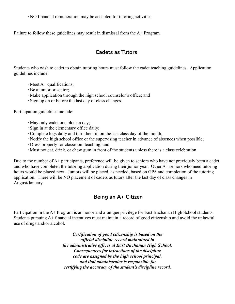∙ NO financial remuneration may be accepted for tutoring activities.

Failure to follow these guidelines may result in dismissal from the A+ Program.

# **Cadets as Tutors**

Students who wish to cadet to obtain tutoring hours must follow the cadet teaching guidelines. Application guidelines include:

- ∙ Meet A+ qualifications;
- ∙ Be a junior or senior;
- ∙ Make application through the high school counselor's office; and
- ∙ Sign up on or before the last day of class changes.

Participation guidelines include:

- ∙ May only cadet one block a day;
- ∙ Sign in at the elementary office daily;
- ∙ Complete logs daily and turn them in on the last class day of the month;
- ∙ Notify the high school office or the supervising teacher in advance of absences when possible;
- ∙ Dress properly for classroom teaching; and
- ∙ Must not eat, drink, or chew gum in front of the students unless there is a class celebration.

Due to the number of A+ participants, preference will be given to seniors who have not previously been a cadet and who have completed the tutoring application during their junior year. Other A+ seniors who need tutoring hours would be placed next. Juniors will be placed, as needed, based on GPA and completion of the tutoring application. There will be NO placement of cadets as tutors after the last day of class changes in August/January.

# **Being an A+ Citizen**

Participation in the A+ Program is an honor and a unique privilege for East Buchanan High School students. Students pursuing A+ financial incentives must maintain a record of good citizenship and avoid the unlawful use of drugs and/or alcohol.

> *Certification of good citizenship is based on the official discipline record maintained in the administrative offices at East Buchanan High School. Consequences for infractions of the discipline code are assigned by the high school principal, and that administrator is responsible for certifying the accuracy of the student's discipline record.*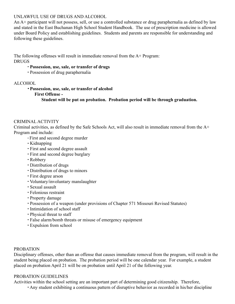#### UNLAWFUL USE OF DRUGS AND ALCOHOL

An A+ participant will not possess, sell, or use a controlled substance or drug paraphernalia as defined by law and stated in the East Buchanan High School Student Handbook. The use of prescription medicine is allowed under Board Policy and establishing guidelines. Students and parents are responsible for understanding and following these guidelines.

The following offenses will result in immediate removal from the A+ Program: DRUGS

#### ∙ **Possession, use, sale, or transfer of drugs**

∙ Possession of drug paraphernalia

#### ALCOHOL

∙ **Possession, use, sale, or transfer of alcohol**

#### **First Offense -**

**Student will be put on probation. Probation period will be through graduation.**

#### CRIMINAL ACTIVITY

Criminal activities, as defined by the Safe Schools Act, will also result in immediate removal from the A+ Program and include:

- ∙ First and second degree murder
- ∙ Kidnapping
- ∙ First and second degree assault
- ∙ First and second degree burglary
- ∙ Robbery
- ∙ Distribution of drugs
- ∙ Distribution of drugs to minors
- ∙ First degree arson
- ∙ Voluntary/involuntary manslaughter
- ∙ Sexual assault
- ∙ Felonious restraint
- ∙ Property damage
- ∙ Possession of a weapon (under provisions of Chapter 571 Missouri Revised Statutes)
- ∙ Intimidation of school staff
- ∙ Physical threat to staff
- ∙ False alarm/bomb threats or misuse of emergency equipment
- ∙ Expulsion from school

#### PROBATION

Disciplinary offenses, other than an offense that causes immediate removal from the program, will result in the student being placed on probation. The probation period will be one calendar year. For example, a student placed on probation April 21 will be on probation until April 21 of the following year.

#### PROBATION GUIDELINES

Activities within the school setting are an important part of determining good citizenship. Therefore,

∙ Any student exhibiting a continuous pattern of disruptive behavior as recorded in his/her discipline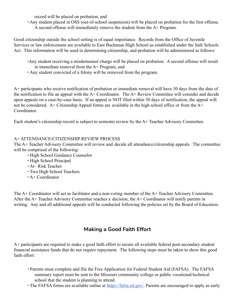record will be placed on probation, and

∙ Any student placed in OSS (out-of-school suspension) will be placed on probation for the first offense. A second offense will immediately remove the student from the A+ Program.

Good citizenship outside the school setting is of equal importance. Records from the Office of Juvenile Services or law enforcement are available to East Buchanan High School as established under the Safe Schools Act. This information will be used in determining citizenship, and probation will be administered as follows:

- ∙Any student receiving a misdemeanor charge will be placed on probation. A second offense will result in immediate removal from the A+ Program, and
- ∙ Any student convicted of a felony will be removed from the program.

A+ participants who receive notification of probation or immediate removal will have 30 days from the date of the notification to file an appeal with the A+ Coordinator. The A+ Review Committee will consider and decide upon appeals on a case-by-case basis. If an appeal is NOT filed within 30 days of notification, the appeal will not be considered. A+ Citizenship Appeal forms are available in the high school office or from the A+ Coordinator.

Each student's citizenship record is subject to semester review by the A+ Teacher Advisory Committee.

#### A+ ATTENDANCE/CITIZENSHIP REVIEW PROCESS

The A+ Teacher Advisory Committee will review and decide all attendance/citizenship appeals. The committee will be comprised of the following:

- ∙ High School Guidance Counselor
- ∙ High School Principal
- ∙ At– Risk Teacher
- ∙ Two High School Teachers
- ∙ A+ Coordinator

The A+ Coordinator will act as facilitator and a non-voting member of the A+ Teacher Advisory Committee. After the A+ Teacher Advisory Committee reaches a decision, the A+ Coordinator will notify parents in writing. Any and all additional appeals will be conducted following the policies set by the Board of Education.

# **Making a Good Faith Effort**

A+ participants are required to make a good faith effort to secure all available federal post-secondary student financial assistance funds that do not require repayment. The following steps must be taken to show this good faith effort:

- ∙ Parents must complete and file the Free Application for Federal Student Aid (FAFSA). The FAFSA summary report must be sent to the Missouri community college or public vocational/technical school that the student is planning to attend.
- The FAFSA forms are available online at [https://fafsa.ed.gov/.](https://fafsa.ed.gov/) Parents are encouraged to apply as early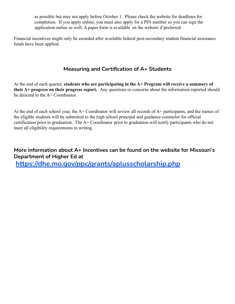as possible but may not apply before October 1. Please check the website for deadlines for completion. If you apply online, you must also apply for a PIN number so you can sign the application online as well. A paper form is available on the website if preferred.

Financial incentives might only be awarded after available federal post-secondary student financial assistance funds have been applied.

# **Measuring and Certification of A+ Students**

At the end of each quarter, **students who are participating in the A+ Program will receive a summary of their A+ progress on their progress report.** Any questions or concerns about the information reported should be directed to the A+ Coordinator.

At the end of each school year, the A+ Coordinator will review all records of A+ participants, and the names of the eligible students will be submitted to the high school principal and guidance counselor for official certification prior to graduation. The A+ Coordinator prior to graduation will notify participants who do not meet all eligibility requirements in writing.

# **More information about A+ Incentives can be found on the website for Missouri's Department of Higher Ed at**

**<https://dhe.mo.gov/ppc/grants/aplusscholarship.php>**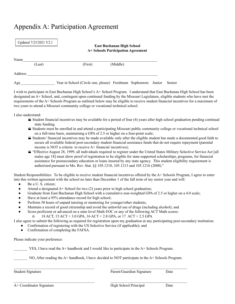# Appendix A: Participation Agreement

| Updated 7/23/2021 V2.1 |        | <b>East Buchanan High School</b><br><b>A+ Schools Participation Agreement</b> |          |  |        |        |
|------------------------|--------|-------------------------------------------------------------------------------|----------|--|--------|--------|
| Name                   | (Last) | (First)                                                                       | (Middle) |  |        |        |
| Address                |        |                                                                               |          |  |        |        |
| Age                    |        | Year in School (Circle one, please) Freshman Sophomore                        |          |  | Junior | Senior |

I wish to participate in East Buchanan High School's A+ School Program. I understand that East Buchanan High School has been designated an A+ School, and, contingent upon continued funding by the Missouri Legislature, eligible students who have met the requirements of the A+ Schools Program as outlined below may be eligible to receive student financial incentives for a maximum of two years to attend a Missouri community college or vocational technical school.

I also understand:

- Student financial incentives may be available for a period of four (4) years after high school graduation pending continual state funding.
- Students must be enrolled in and attend a participating Missouri public community college or vocational technical school on a full-time basis, maintaining a GPA of 2.5 or higher on a four-point scale;
- Students' financial incentives may be made available only after the eligible student has made a documented good faith to secure all available federal post-secondary student financial assistance funds that do not require repayment (parental income is NOT a criteria to receive A+ financial incentives);
- "Effective August 28, 1999, all individuals required to register under the United States Military Selective Service Act [all males age 18] must show proof of registration to be eligible for state-supported scholarships, programs, for financial assistance for postsecondary education or loans insured by any state agency. This student eligibility requirement is authorized pursuant to Mo. Rev. Stat. §§ 105.1210, 105.1213 and 105.1216 (2000)."

Student Responsibilities: To be eligible to receive student financial incentives offered by the A+ Schools Program, I agree to enter into this written agreement with the school no later than December 1 of the fall term of my senior year and will:

- Be a U. S. citizen;
- Attend a designated A+ School for two (2) years prior to high school graduation;
- Graduate from East Buchanan High School with a cumulative non-weighted GPA of 2.5 or higher on a 4.0 scale;
- Have at least a 95% attendance record for high school;
- Perform 50 hours of unpaid tutoring or mentoring for younger/other students;
- Maintain a record of good citizenship and avoid the unlawful use of drugs (including alcohol); and
- Score proficient or advanced on a state level Math EOC or any of the following ACT Math scores:
	- 18 ACT, 15 ACT + 3.0 GPA, 16 ACT + 2.8 GPA, or 17 ACT + 2.5 GPA

I also agree to submit the following as required for registration upon my graduation at any participating post-secondary institution:

- Confirmation of registering with the US Selective Service (if applicable); and
- Confirmation of completing the FAFSA.

Please indicate your preference:

YES, I have read the A+ handbook and I would like to participate in the A+ Schools Program.

NO, After reading the A+ handbook, I have decided to NOT participate in the A+ Schools Program.

Student Signature Parent/Guardian Signature Date A+ Coordinator Signature **High School Principal** Date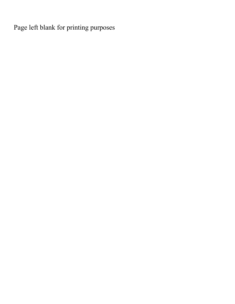Page left blank for printing purposes